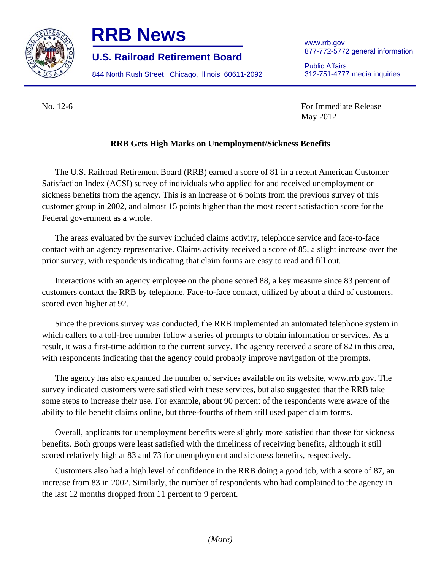

## **RRB News** www.rrb.gov

877-772-5772 general information **U.S. Railroad Retirement Board** 

844 North Rush Street Chicago, Illinois 60611-2092 312-751-4777 media inquiries

Public Affairs

No. 12-6 For Immediate Release May 2012

## **RRB Gets High Marks on Unemployment/Sickness Benefits**

The U.S. Railroad Retirement Board (RRB) earned a score of 81 in a recent American Customer Satisfaction Index (ACSI) survey of individuals who applied for and received unemployment or sickness benefits from the agency. This is an increase of 6 points from the previous survey of this customer group in 2002, and almost 15 points higher than the most recent satisfaction score for the Federal government as a whole.

The areas evaluated by the survey included claims activity, telephone service and face-to-face contact with an agency representative. Claims activity received a score of 85, a slight increase over the prior survey, with respondents indicating that claim forms are easy to read and fill out.

Interactions with an agency employee on the phone scored 88, a key measure since 83 percent of customers contact the RRB by telephone. Face-to-face contact, utilized by about a third of customers, scored even higher at 92.

Since the previous survey was conducted, the RRB implemented an automated telephone system in which callers to a toll-free number follow a series of prompts to obtain information or services. As a result, it was a first-time addition to the current survey. The agency received a score of 82 in this area, with respondents indicating that the agency could probably improve navigation of the prompts.

The agency has also expanded the number of services available on its website, www.rrb.gov. The survey indicated customers were satisfied with these services, but also suggested that the RRB take some steps to increase their use. For example, about 90 percent of the respondents were aware of the ability to file benefit claims online, but three-fourths of them still used paper claim forms.

Overall, applicants for unemployment benefits were slightly more satisfied than those for sickness benefits. Both groups were least satisfied with the timeliness of receiving benefits, although it still scored relatively high at 83 and 73 for unemployment and sickness benefits, respectively.

Customers also had a high level of confidence in the RRB doing a good job, with a score of 87, an increase from 83 in 2002. Similarly, the number of respondents who had complained to the agency in the last 12 months dropped from 11 percent to 9 percent.

*(More)*